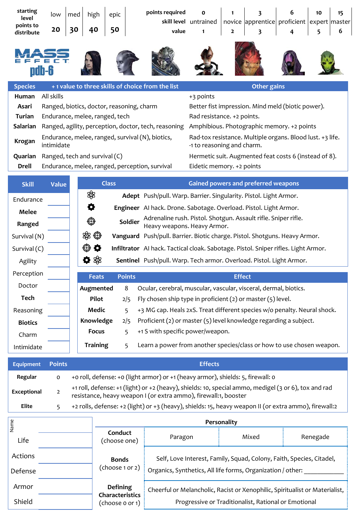| starting<br>level<br>points to<br>distribute                                                               | low<br>20                                                                                                           | med<br>30                                                                                                     | high<br>40                                                                          | epic<br>50   |               | points required<br>value                                                           | skill level untrained                      | 1<br>2        | 3<br>novice apprentice proficient<br>3                    | 6<br>4 | 10<br>5 | 15<br>$expert$ master<br>6 |
|------------------------------------------------------------------------------------------------------------|---------------------------------------------------------------------------------------------------------------------|---------------------------------------------------------------------------------------------------------------|-------------------------------------------------------------------------------------|--------------|---------------|------------------------------------------------------------------------------------|--------------------------------------------|---------------|-----------------------------------------------------------|--------|---------|----------------------------|
|                                                                                                            |                                                                                                                     |                                                                                                               |                                                                                     |              |               |                                                                                    |                                            |               |                                                           |        |         |                            |
| <b>Species</b>                                                                                             |                                                                                                                     |                                                                                                               |                                                                                     |              |               | + 1 value to three skills of choice from the list                                  |                                            |               | <b>Other gains</b>                                        |        |         |                            |
| Human                                                                                                      | All skills                                                                                                          |                                                                                                               |                                                                                     |              |               |                                                                                    | +3 points                                  |               |                                                           |        |         |                            |
| Asari                                                                                                      | Ranged, biotics, doctor, reasoning, charm                                                                           |                                                                                                               |                                                                                     |              |               |                                                                                    |                                            |               | Better fist impression. Mind meld (biotic power).         |        |         |                            |
| Turian                                                                                                     | Endurance, melee, ranged, tech                                                                                      |                                                                                                               |                                                                                     |              |               |                                                                                    | Rad resistance. +2 points.                 |               |                                                           |        |         |                            |
| Salarian                                                                                                   |                                                                                                                     |                                                                                                               |                                                                                     |              |               | Ranged, agility, perception, doctor, tech, reasoning                               | Amphibious. Photographic memory. +2 points |               |                                                           |        |         |                            |
| Krogan                                                                                                     | intimidate                                                                                                          |                                                                                                               |                                                                                     |              |               | Endurance, melee, ranged, survival (N), biotics,                                   | -1 to reasoning and charm.                 |               | Rad-tox resistance. Multiple organs. Blood lust. +3 life. |        |         |                            |
| Quarian                                                                                                    | Ranged, tech and survival (C)                                                                                       |                                                                                                               |                                                                                     |              |               |                                                                                    |                                            |               | Hermetic suit. Augmented feat costs 6 (instead of 8).     |        |         |                            |
| <b>Drell</b>                                                                                               |                                                                                                                     |                                                                                                               |                                                                                     |              |               | Endurance, melee, ranged, perception, survival                                     | Eidetic memory. +2 points                  |               |                                                           |        |         |                            |
| <b>Skill</b>                                                                                               | Value                                                                                                               |                                                                                                               |                                                                                     | <b>Class</b> |               |                                                                                    | <b>Gained powers and preferred weapons</b> |               |                                                           |        |         |                            |
| Endurance                                                                                                  |                                                                                                                     |                                                                                                               | \$                                                                                  |              |               | Adept Push/pull. Warp. Barrier. Singularity. Pistol. Light Armor.                  |                                            |               |                                                           |        |         |                            |
| Q<br>Engineer AI hack. Drone. Sabotage. Overload. Pistol. Light Armor.<br><b>Melee</b>                     |                                                                                                                     |                                                                                                               |                                                                                     |              |               |                                                                                    |                                            |               |                                                           |        |         |                            |
| Ranged                                                                                                     |                                                                                                                     | Adrenaline rush. Pistol. Shotgun. Assault rifle. Sniper rifle.<br>⊕<br>Soldier<br>Heavy weapons. Heavy Armor. |                                                                                     |              |               |                                                                                    |                                            |               |                                                           |        |         |                            |
| Survival (N)                                                                                               |                                                                                                                     |                                                                                                               | \$B ©<br>Vanguard Push/pull. Barrier. Biotic charge. Pistol. Shotguns. Heavy Armor. |              |               |                                                                                    |                                            |               |                                                           |        |         |                            |
| Survival (C)                                                                                               |                                                                                                                     |                                                                                                               | ⊕<br>۰                                                                              |              |               | Infiltrator AI hack. Tactical cloak. Sabotage. Pistol. Sniper rifles. Light Armor. |                                            |               |                                                           |        |         |                            |
| Agility                                                                                                    |                                                                                                                     |                                                                                                               | ✿ \$                                                                                |              |               | Sentinel Push/pull. Warp. Tech armor. Overload. Pistol. Light Armor.               |                                            |               |                                                           |        |         |                            |
| Perception                                                                                                 |                                                                                                                     |                                                                                                               | <b>Feats</b>                                                                        |              | <b>Points</b> |                                                                                    |                                            | <b>Effect</b> |                                                           |        |         |                            |
| Doctor                                                                                                     |                                                                                                                     |                                                                                                               | Augmented                                                                           |              | 8             | Ocular, cerebral, muscular, vascular, visceral, dermal, biotics.                   |                                            |               |                                                           |        |         |                            |
| Tech<br>Pilot<br>Fly chosen ship type in proficient $(2)$ or master $(5)$ level.<br>2/5                    |                                                                                                                     |                                                                                                               |                                                                                     |              |               |                                                                                    |                                            |               |                                                           |        |         |                            |
| +3 MG cap. Heals 2xS. Treat different species w/o penalty. Neural shock.<br><b>Medic</b><br>Reasoning<br>5 |                                                                                                                     |                                                                                                               |                                                                                     |              |               |                                                                                    |                                            |               |                                                           |        |         |                            |
| <b>Biotics</b>                                                                                             | Proficient (2) or master (5) level knowledge regarding a subject.<br>Knowledge<br>2/5                               |                                                                                                               |                                                                                     |              |               |                                                                                    |                                            |               |                                                           |        |         |                            |
| Charm                                                                                                      |                                                                                                                     |                                                                                                               | <b>Focus</b>                                                                        |              | 5             | +1 S with specific power/weapon.                                                   |                                            |               |                                                           |        |         |                            |
| Intimidate                                                                                                 |                                                                                                                     |                                                                                                               | <b>Training</b>                                                                     |              | 5             | Learn a power from another species/class or how to use chosen weapon.              |                                            |               |                                                           |        |         |                            |
| <b>Equipment</b>                                                                                           | <b>Points</b>                                                                                                       |                                                                                                               |                                                                                     |              |               |                                                                                    | <b>Effects</b>                             |               |                                                           |        |         |                            |
| Regular                                                                                                    | +o roll, defense: +o (light armor) or +1 (heavy armor), shields: 5, firewall: o<br>$\mathsf{o}$                     |                                                                                                               |                                                                                     |              |               |                                                                                    |                                            |               |                                                           |        |         |                            |
| Exceptional                                                                                                | +1 roll, defense: +1 (light) or +2 (heavy), shields: 10, special ammo, medigel (3 or 6), tox and rad<br>$\mathbf 2$ |                                                                                                               |                                                                                     |              |               |                                                                                    |                                            |               |                                                           |        |         |                            |

| <b>Elite</b>    | +2 rolls, defense: +2 (light) or +3 (heavy), shields: 15, heavy weapon II (or extra ammo), firewall:2 |                                                                                |                                                                             |       |          |  |  |  |
|-----------------|-------------------------------------------------------------------------------------------------------|--------------------------------------------------------------------------------|-----------------------------------------------------------------------------|-------|----------|--|--|--|
|                 |                                                                                                       | Personality                                                                    |                                                                             |       |          |  |  |  |
| ہے<br>N<br>Life |                                                                                                       | Conduct<br>(choose one)                                                        | Paragon                                                                     | Mixed | Renegade |  |  |  |
| Actions         |                                                                                                       | <b>Bonds</b>                                                                   | Self, Love Interest, Family, Squad, Colony, Faith, Species, Citadel,        |       |          |  |  |  |
| Defense         |                                                                                                       | (choose 1 or 2)<br>Organics, Synthetics, All life forms, Organization / other: |                                                                             |       |          |  |  |  |
| Armor           |                                                                                                       | <b>Defining</b><br>Characteristics                                             | Cheerful or Melancholic, Racist or Xenophilic, Spiritualist or Materialist, |       |          |  |  |  |
| Shield          |                                                                                                       | Progressive or Traditionalist, Rational or Emotional<br>(choose o or 1)        |                                                                             |       |          |  |  |  |

resistance, heavy weapon I (or extra ammo), firewall:1, booster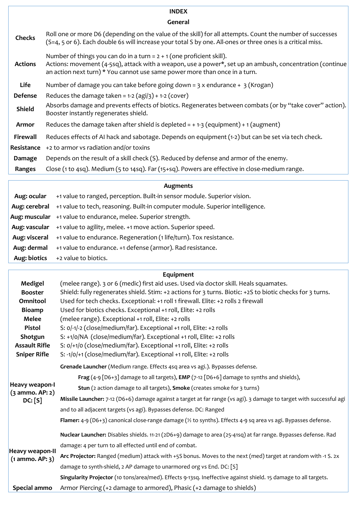### **INDEX**

#### **General**

| <b>Checks</b>   | Roll one or more D6 (depending on the value of the skill) for all attempts. Count the number of successes<br>(S=4, 5 or 6). Each double 6s will increase your total S by one. All-ones or three ones is a critical miss.                                          |  |
|-----------------|-------------------------------------------------------------------------------------------------------------------------------------------------------------------------------------------------------------------------------------------------------------------|--|
| <b>Actions</b>  | Number of things you can do in a turn = $2 + 1$ (one proficient skill).<br>Actions: movement (4-5sq), attack with a weapon, use a power*, set up an ambush, concentration (continue<br>an action next turn) * You cannot use same power more than once in a turn. |  |
| Life            | Number of damage you can take before going down = $3 \times$ endurance + $3$ (Krogan)                                                                                                                                                                             |  |
| Defense         | Reduces the damage taken = $1-2$ (agi/3) + $1-2$ (cover)                                                                                                                                                                                                          |  |
| <b>Shield</b>   | Absorbs damage and prevents effects of biotics. Regenerates between combats (or by "take cover" action).<br>Booster instantly regenerates shield.                                                                                                                 |  |
| <b>Armor</b>    | Reduces the damage taken after shield is depleted = $+1-3$ (equipment) + 1 (augment)                                                                                                                                                                              |  |
| <b>Firewall</b> | Reduces effects of AI hack and sabotage. Depends on equipment (1-2) but can be set via tech check.                                                                                                                                                                |  |
| Resistance      | +2 to armor vs radiation and/or toxins                                                                                                                                                                                                                            |  |
| Damage          | Depends on the result of a skill check (S). Reduced by defense and armor of the enemy.                                                                                                                                                                            |  |
| Ranges          | Close (1 to 4sq). Medium (5 to 14sq). Far (15+sq). Powers are effective in close-medium range.                                                                                                                                                                    |  |
|                 |                                                                                                                                                                                                                                                                   |  |

|               | Augments                                                                      |  |  |  |
|---------------|-------------------------------------------------------------------------------|--|--|--|
| Aug: ocular   | +1 value to ranged, perception. Built-in sensor module. Superior vision.      |  |  |  |
| Aug: cerebral | +1 value to tech, reasoning. Built-in computer module. Superior intelligence. |  |  |  |
|               | Aug: muscular +1 value to endurance, melee. Superior strength.                |  |  |  |
|               | Aug: vascular +1 value to agility, melee. +1 move action. Superior speed.     |  |  |  |
| Aug: visceral | +1 value to endurance. Regeneration (1 life/turn). Tox resistance.            |  |  |  |
| Aug: dermal   | +1 value to endurance. +1 defense (armor). Rad resistance.                    |  |  |  |
| Aug: biotics  | +2 value to biotics.                                                          |  |  |  |

|  | Equipment |
|--|-----------|
|  |           |

| Medigel                                     | (melee range). 3 or 6 (medic) first aid uses. Used via doctor skill. Heals squamates.                                     |  |  |  |  |
|---------------------------------------------|---------------------------------------------------------------------------------------------------------------------------|--|--|--|--|
| <b>Booster</b>                              | Shield: fully regenerates shield. Stim: +2 actions for 3 turns. Biotic: +2S to biotic checks for 3 turns.                 |  |  |  |  |
| Omnitool                                    | Used for tech checks. Exceptional: +1 roll 1 firewall. Elite: +2 rolls 2 firewall                                         |  |  |  |  |
| <b>Bioamp</b>                               | Used for biotics checks. Exceptional +1 roll, Elite: +2 rolls                                                             |  |  |  |  |
| Melee                                       | (melee range). Exceptional +1 roll, Elite: +2 rolls                                                                       |  |  |  |  |
| Pistol                                      | S: 0/-1/-2 (close/medium/far). Exceptional +1 roll, Elite: +2 rolls                                                       |  |  |  |  |
| Shotgun                                     | S: +1/0/NA (close/medium/far). Exceptional +1 roll, Elite: +2 rolls                                                       |  |  |  |  |
| <b>Assault Rifle</b>                        | S: 0/+1/0 (close/medium/far). Exceptional +1 roll, Elite: +2 rolls                                                        |  |  |  |  |
| <b>Sniper Rifle</b>                         | S: -1/0/+1 (close/medium/far). Exceptional +1 roll, Elite: +2 rolls                                                       |  |  |  |  |
|                                             | Grenade Launcher (Medium range. Effects 4sq area vs agi.). Bypasses defense.                                              |  |  |  |  |
|                                             | Frag (4-9 [D6+3] damage to all targets), EMP (7-12 [D6+6] damage to synths and shields),                                  |  |  |  |  |
| Heavy weapon-I<br>(3 ammo. AP: 2)           | Stun (2 action damage to all targets), Smoke (creates smoke for 3 turns)                                                  |  |  |  |  |
| DC: [S]                                     | Missile Launcher: 7-12 (D6+6) damage against a target at far range (vs agi). 3 damage to target with successful agi       |  |  |  |  |
|                                             | and to all adjacent targets (vs agi). Bypasses defense. DC: Ranged                                                        |  |  |  |  |
|                                             | Flamer: 4-9 (D6+3) canonical close-range damage ( $\frac{1}{2}$ to synths). Effects 4-9 sq area vs agi. Bypasses defense. |  |  |  |  |
|                                             | Nuclear Launcher: Disables shields. 11-21 (2D6+9) damage to area (25-41sq) at far range. Bypasses defense. Rad            |  |  |  |  |
|                                             | damage: 4 per turn to all effected until end of combat.                                                                   |  |  |  |  |
| <b>Heavy weapon-II</b><br>$(1$ ammo. AP: 3) | Arc Projector: Ranged (medium) attack with +5S bonus. Moves to the next (med) target at random with -1 S. 2x              |  |  |  |  |
|                                             | damage to synth-shield, 2 AP damage to unarmored org vs End. DC: [S]                                                      |  |  |  |  |
|                                             | Singularity Projector (10 tons/area/med). Effects 9-13sq. Ineffective against shield. 15 damage to all targets.           |  |  |  |  |
| Special ammo                                | Armor Piercing (+2 damage to armored), Phasic (+2 damage to shields)                                                      |  |  |  |  |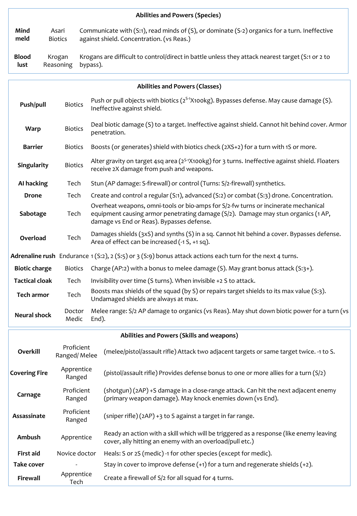|                                              |                            |                                                                                                              | <b>Abilities and Powers (Species)</b>                                                                                                                                                                                |  |  |  |
|----------------------------------------------|----------------------------|--------------------------------------------------------------------------------------------------------------|----------------------------------------------------------------------------------------------------------------------------------------------------------------------------------------------------------------------|--|--|--|
| Mind<br>meld                                 | Asari<br><b>Biotics</b>    |                                                                                                              | Communicate with (S:1), read minds of (S), or dominate (S-2) organics for a turn. Ineffective<br>against shield. Concentration. (vs Reas.)                                                                           |  |  |  |
| <b>Blood</b><br>Krogan<br>Reasoning<br>lust  |                            | Krogans are difficult to control/direct in battle unless they attack nearest target (S:1 or 2 to<br>bypass). |                                                                                                                                                                                                                      |  |  |  |
|                                              |                            |                                                                                                              | Abilities and Powers (Classes)                                                                                                                                                                                       |  |  |  |
| Push/pull                                    | <b>Biotics</b>             |                                                                                                              | Push or pull objects with biotics ( $2^{5/1}X100kg$ ). Bypasses defense. May cause damage (S).<br>Ineffective against shield.                                                                                        |  |  |  |
| <b>Warp</b>                                  | <b>Biotics</b>             |                                                                                                              | Deal biotic damage (S) to a target. Ineffective against shield. Cannot hit behind cover. Armor<br>penetration.                                                                                                       |  |  |  |
| <b>Barrier</b>                               | <b>Biotics</b>             |                                                                                                              | Boosts (or generates) shield with biotics check (2XS+2) for a turn with 1S or more.                                                                                                                                  |  |  |  |
| Singularity                                  | <b>Biotics</b>             |                                                                                                              | Alter gravity on target 4sq area (2 <sup>5-1</sup> X100kg) for 3 turns. Ineffective against shield. Floaters<br>receive 2X damage from push and weapons.                                                             |  |  |  |
| AI hacking                                   | Tech                       |                                                                                                              | Stun (AP damage: S-firewall) or control (Turns: S/2-firewall) synthetics.                                                                                                                                            |  |  |  |
| <b>Drone</b>                                 | Tech                       |                                                                                                              | Create and control a regular (S:1), advanced (S:2) or combat (S:3) drone. Concentration.                                                                                                                             |  |  |  |
| Sabotage                                     | Tech                       |                                                                                                              | Overheat weapons, omni-tools or bio-amps for S/2-fw turns or incinerate mechanical<br>equipment causing armor penetrating damage (S/2). Damage may stun organics (1 AP,<br>damage vs End or Reas). Bypasses defense. |  |  |  |
| Overload                                     | Tech                       |                                                                                                              | Damages shields (3xS) and synths (S) in a sq. Cannot hit behind a cover. Bypasses defense.<br>Area of effect can be increased (-1 S, +1 sq).                                                                         |  |  |  |
|                                              |                            |                                                                                                              | Adrenaline rush Endurance 1(S:2), 2(S:5) or 3(S:9) bonus attack actions each turn for the next 4 turns.                                                                                                              |  |  |  |
| <b>Biotic charge</b>                         | <b>Biotics</b>             |                                                                                                              | Charge (AP:2) with a bonus to melee damage (S). May grant bonus attack (S:3+).                                                                                                                                       |  |  |  |
| <b>Tactical cloak</b>                        | Tech                       |                                                                                                              | Invisibility over time (S turns). When invisible +2 S to attack.                                                                                                                                                     |  |  |  |
| Tech armor                                   | Tech                       |                                                                                                              | Boosts max shields of the squad (by S) or repairs target shields to its max value (S:3).<br>Undamaged shields are always at max.                                                                                     |  |  |  |
| <b>Neural shock</b>                          | Doctor<br>Medic            | End).                                                                                                        | Melee range: S/2 AP damage to organics (vs Reas). May shut down biotic power for a turn (vs                                                                                                                          |  |  |  |
|                                              |                            |                                                                                                              | Abilities and Powers (Skills and weapons)                                                                                                                                                                            |  |  |  |
| Overkill                                     | Proficient<br>Ranged/Melee |                                                                                                              | (melee/pistol/assault rifle) Attack two adjacent targets or same target twice. -1 to S.                                                                                                                              |  |  |  |
| Apprentice<br><b>Covering Fire</b><br>Ranged |                            |                                                                                                              | (pistol/assault rifle) Provides defense bonus to one or more allies for a turn (S/2)                                                                                                                                 |  |  |  |
| Carnage                                      | Proficient<br>Ranged       |                                                                                                              | (shotgun) (2AP) +S damage in a close-range attack. Can hit the next adjacent enemy<br>(primary weapon damage). May knock enemies down (vs End).                                                                      |  |  |  |
| Assassinate                                  | Proficient<br>Ranged       |                                                                                                              | (sniper rifle) (2AP) +3 to S against a target in far range.                                                                                                                                                          |  |  |  |
| Ambush                                       | Apprentice                 |                                                                                                              | Ready an action with a skill which will be triggered as a response (like enemy leaving<br>cover, ally hitting an enemy with an overload/pull etc.)                                                                   |  |  |  |
| <b>First aid</b>                             | Novice doctor              |                                                                                                              | Heals: S or 2S (medic) -1 for other species (except for medic).                                                                                                                                                      |  |  |  |
| <b>Take cover</b>                            |                            |                                                                                                              | Stay in cover to improve defense $(+1)$ for a turn and regenerate shields $(+2)$ .                                                                                                                                   |  |  |  |
| Firewall                                     | Apprentice<br>Tech         |                                                                                                              | Create a firewall of S/2 for all squad for 4 turns.                                                                                                                                                                  |  |  |  |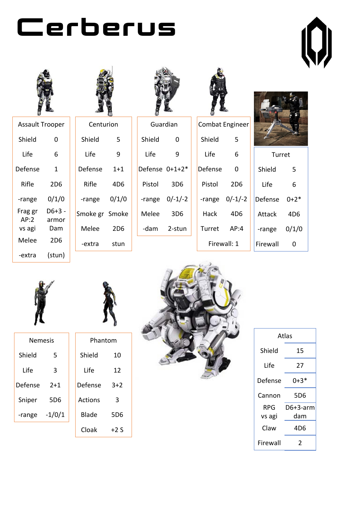





| Assault Trooper |        |  |  |  |  |
|-----------------|--------|--|--|--|--|
| Shield          | 0      |  |  |  |  |
| Life            | 6      |  |  |  |  |
| Defense         | 1      |  |  |  |  |
| Rifle           | 2D6    |  |  |  |  |
| -range          | 0/1/0  |  |  |  |  |
| Frag gr         | D6+3 - |  |  |  |  |
| AP:2            | armor  |  |  |  |  |
| vs agi          | Dam    |  |  |  |  |
| Melee           | 2D6    |  |  |  |  |
| -extra          | (stun) |  |  |  |  |







| Guardian       |  |  |  |  |  |
|----------------|--|--|--|--|--|
| 0              |  |  |  |  |  |
| 9              |  |  |  |  |  |
| Defense 0+1+2* |  |  |  |  |  |
| 3D6            |  |  |  |  |  |
| 0/-1/-2        |  |  |  |  |  |
| 3D6            |  |  |  |  |  |
| 2-stun         |  |  |  |  |  |
|                |  |  |  |  |  |

|         | --               |   |
|---------|------------------|---|
|         | Combat Engineer  |   |
| Shield  | 5                |   |
| Life    | 6                |   |
| Defense | 0                |   |
| Pistol  | 2D6              |   |
|         | $-range$ 0/-1/-2 | Г |
| Hack    | 4D6              |   |
| Turret  | AP:4             |   |
|         | Firewall: 1      | F |



| በ+2*  |
|-------|
|       |
| 0/1/0 |
|       |
|       |



| Nemesis |        |  |  |  |  |  |
|---------|--------|--|--|--|--|--|
| Shield  | 5      |  |  |  |  |  |
| Life    | 3      |  |  |  |  |  |
| Defense | $2+1$  |  |  |  |  |  |
| Sniper  | 5D6    |  |  |  |  |  |
| -range  | -1/0/1 |  |  |  |  |  |





Cloak +2 S



| Atlas    |          |  |  |  |  |
|----------|----------|--|--|--|--|
| Shield   | 15       |  |  |  |  |
| Life     | 27       |  |  |  |  |
| Defense  | 0+3*     |  |  |  |  |
| Cannon   | 5D6      |  |  |  |  |
| RPG      | D6+3-arm |  |  |  |  |
| vs agi   | dam      |  |  |  |  |
| Claw     | 4D6      |  |  |  |  |
| Firewall | 2        |  |  |  |  |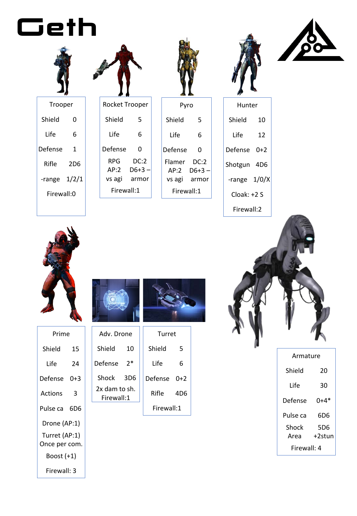





| Hunter |
|--------|



Trooper Shield 0 Life 6 Defense 1 Rifle 2D6 -range 1/2/1 Firewall:0

| Rocket Trooper |              |
|----------------|--------------|
| Shield         | 5            |
| Life           | 6            |
| Defense        | 0            |
| RPG            | DC:2         |
| AP:2           | D6+3 –       |
|                | vs agi armor |
| Firewall:1     |              |

| Pyro             |                                 |  |  |  |
|------------------|---------------------------------|--|--|--|
| Shield           | 5                               |  |  |  |
| Life             | 6                               |  |  |  |
| Defense          | ი                               |  |  |  |
| Flamer<br>vs agi | DC:2<br>$AP:2$ $D6+3-$<br>armor |  |  |  |
| Firewall:1       |                                 |  |  |  |

| Hunter       |     |
|--------------|-----|
| Shield       | 10  |
| l ife        | 12  |
| Defense      | 0+2 |
| Shotgun 4D6  |     |
| -range 1/0/X |     |
| Cloak: +2.S  |     |
|              |     |





| Prime                          |    |
|--------------------------------|----|
| Shield                         | 15 |
| Life                           | 24 |
| Defense 0+3                    |    |
| Actions                        | 3  |
| Pulse ca 6D6                   |    |
| Drone (AP:1)                   |    |
| Turret (AP:1)<br>Once per com. |    |
| Boost (+1)                     |    |
| Firewall: 3                    |    |





| Adv. Drone                  |                 |  | Turret     |       |
|-----------------------------|-----------------|--|------------|-------|
| Shield                      | 10              |  | Shield     | 5     |
| Defense                     | $2*$            |  | Life       | 6     |
| Shock                       | 3D <sub>6</sub> |  | Defense    | $0+2$ |
| 2x dam to sh.<br>Firewall:1 |                 |  | Rifle      | 4D6   |
|                             |                 |  | Firewall:1 |       |



| Armature    |        |
|-------------|--------|
| Shield      | 20     |
| Life        | 30     |
| Defense     | 0+4*   |
| Pulse ca    | 6D6    |
| Shock       | 5D6    |
| Area        | +2stun |
| Firewall: 4 |        |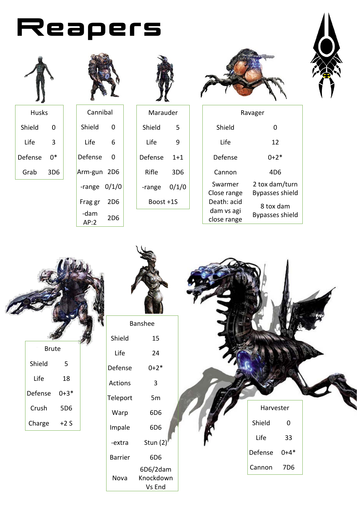



Shield 0

Life 3

Defense 0\*

Grab 3D6



|              | Cannibal |  |  |  |  |
|--------------|----------|--|--|--|--|
| Shield       | ი        |  |  |  |  |
| Life         | 6        |  |  |  |  |
| Defense      | ი        |  |  |  |  |
| Arm-gun 2D6  |          |  |  |  |  |
| -range       | 0/1/0    |  |  |  |  |
| Frag gr      | 2D6      |  |  |  |  |
| -dam<br>AP:2 | 2D6      |  |  |  |  |



|           | Marauder |  |  |  |  |
|-----------|----------|--|--|--|--|
| Shield    | 5        |  |  |  |  |
| l ife     | q        |  |  |  |  |
| Defense   | $1 + 1$  |  |  |  |  |
| Rifle     | 3D6      |  |  |  |  |
| -range    | 0/1/0    |  |  |  |  |
| Boost +1S |          |  |  |  |  |





|             | Ravager                |
|-------------|------------------------|
| Shield      | ი                      |
| Life        | 12                     |
| Defense     | በ+2*                   |
| Cannon      | 4D6                    |
| Swarmer     | 2 tox dam/turn         |
| Close range | <b>Bypasses shield</b> |
| Death: acid | 8 tox dam              |
| dam vs agi  | Bypasses shield        |
| close range |                        |

|         |              |          | Banshee             |  |           |                     |  |
|---------|--------------|----------|---------------------|--|-----------|---------------------|--|
|         |              | Shield   | 15                  |  |           |                     |  |
|         | <b>Brute</b> |          |                     |  |           |                     |  |
|         |              | Life     | 24                  |  |           |                     |  |
| Shield  | 5            | Defense  | $0 + 2*$            |  |           |                     |  |
| Life    | 18           | Actions  | $\mathsf{3}$        |  |           |                     |  |
| Defense | $0 + 3*$     | Teleport | $5m$                |  |           |                     |  |
| Crush   | 5D6          | Warp     | 6D6                 |  | Harvester |                     |  |
| Charge  | $+2S$        | Impale   | 6D6                 |  | Shield    | $\mathsf{O}\xspace$ |  |
|         |              | -extra   | Stun $(2)$          |  | Life      | 33                  |  |
|         |              | Barrier  | 6D <sub>6</sub>     |  | Defense   | $0 + 4*$            |  |
|         |              |          | 6D6/2dam            |  | Cannon    | 7D6                 |  |
|         |              | Nova     | Knockdown<br>Vs End |  |           |                     |  |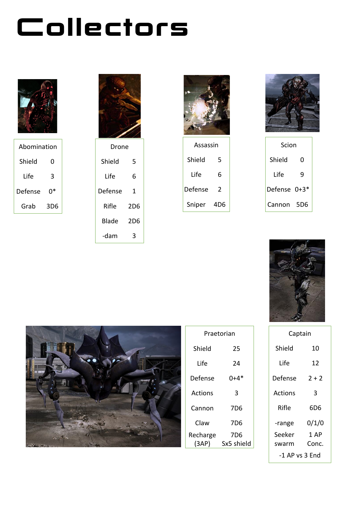## Collectors



| Abomination |     |
|-------------|-----|
| Shield      | O   |
| Life        | 3   |
| Defense     | በ*  |
| Grab        | 3D6 |



Shield 5 Life 6 Defense 1 Rifle 2D6 Blade 2D6 -dam 3







| Scion        |     |
|--------------|-----|
| Shield       | O   |
| Life         | q   |
| Defense 0+3* |     |
| Cannon       | 5D6 |





| Praetorian        |                               |
|-------------------|-------------------------------|
| Shield            | 25                            |
| l ife             | 24                            |
| Defense           | 0+4*                          |
| Actions           | 3                             |
| Cannon            | 7D6                           |
| Claw              | 7D6                           |
| Recharge<br>(3AP) | 7 <sub>D6</sub><br>Sx5 shield |
|                   |                               |

| Captain        |         |
|----------------|---------|
| Shield         | 10      |
| Life           | 12      |
| Defense        | $2 + 2$ |
| Actions        | 3       |
| Rifle          | 6D6     |
| -range         | 0/1/0   |
| Seeker         | 1 AP    |
| swarm          | Conc.   |
| -1 AP vs 3 End |         |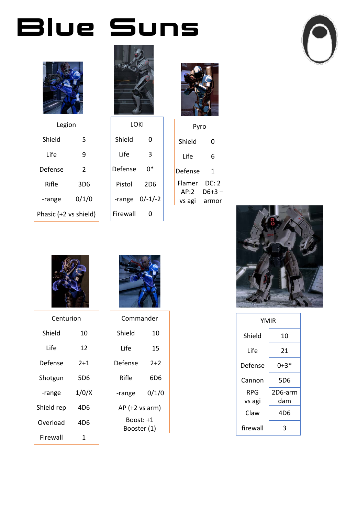### Blue Suns



| Legion                |       |  |
|-----------------------|-------|--|
| Shield                | 5     |  |
| Life                  | q     |  |
| Defense               | 2     |  |
| Rifle                 | 3D6   |  |
| -range                | 0/1/0 |  |
| Phasic (+2 vs shield) |       |  |



LOKI

Shield 0

Life 3

Defense 0\*

Pistol 2D6

-range 0/-1/-2

Firewall 0

| Pyro |
|------|
|      |

| Shield  | O      |
|---------|--------|
| Life    | 6      |
| Defense | 1      |
| Flamer  | DC: 2  |
| AP:2    | D6+3 – |
| vs agi  | armor  |





| YMIR     |         |
|----------|---------|
| Shield   | 10      |
| Life     | 21      |
| Defense  | 0+3     |
| Cannon   | 5D6     |
| RPG      | 2D6-arm |
| vs agi   | dam     |
| Claw     | 4D6     |
| firewall | ₹       |



| Centurion  |       |
|------------|-------|
| Shield     | 10    |
| Life       | 12    |
| Defense    | $2+1$ |
| Shotgun    | 5D6   |
| -range     | 1/0/X |
| Shield rep | 4D6   |
| Overload   | 4D6   |
| Firewall   | 1     |



| Commander                |       |  |
|--------------------------|-------|--|
| Shield                   | 10    |  |
| I ife                    | 15    |  |
| Defense                  | $2+2$ |  |
| Rifle                    | 6D6   |  |
| -range                   | 0/1/0 |  |
| AP (+2 vs arm)           |       |  |
| Boost: +1<br>Booster (1) |       |  |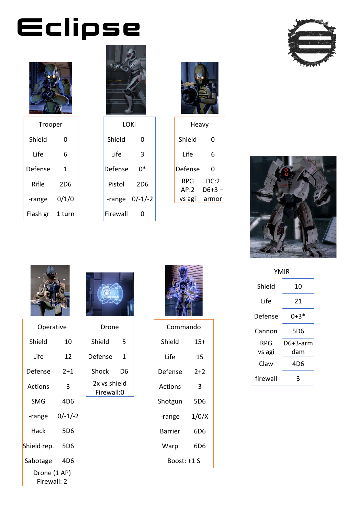# Eclipse



| Trooper  |        |
|----------|--------|
| Shield   | ი      |
| Life     | 6      |
| Defense  | 1      |
| Rifle    | 2D6    |
| -range   | 0/1/0  |
| Flash gr | 1 turn |



LOKI

Shield 0

Life 3

Defense 0\*

Pistol 2D6

-range 0/-1/-2

Firewall 0



| Heavy   |         |
|---------|---------|
| Shield  | 0       |
| Life    | 6       |
| Defense | ი       |
| RPG     | DC:2    |
| AP:2    | $D6+3-$ |
| vs agi  | armor   |







| Operative                   |                 |  |
|-----------------------------|-----------------|--|
| Shield                      | 10              |  |
| Life                        | 12              |  |
| Defense                     | 2+1             |  |
| Actions                     | 3               |  |
| SMG                         | 4D <sub>6</sub> |  |
| -range                      | $0/-1/-2$       |  |
| Hack                        | 5D6             |  |
| Shield rep.                 | 5D6             |  |
| Sabotage 4D6                |                 |  |
| Drone (1 AP)<br>Firewall: 2 |                 |  |



| Drone                      |    |  |
|----------------------------|----|--|
| Shield                     | 5  |  |
| Defense                    | 1  |  |
| Shock                      | D6 |  |
| 2x vs shield<br>Firewall:0 |    |  |
|                            |    |  |



| Commando    |       |  |
|-------------|-------|--|
| Shield      | 15+   |  |
| Life        | 15    |  |
| Defense     | $2+2$ |  |
| Actions     | 3     |  |
| Shotgun     | 5D6   |  |
| -range      | 1/0/X |  |
| Barrier     | 6D6   |  |
| Warp        | 6D6   |  |
| Boost: +1.S |       |  |

| YMIR     |          |  |
|----------|----------|--|
| Shield   | 10       |  |
| Life     | 21       |  |
| Defense  | $0+3*$   |  |
| Cannon   | 5D6      |  |
| RPG      | D6+3-arm |  |
| vs agi   | dam      |  |
| Claw     | 4D6      |  |
| firewall |          |  |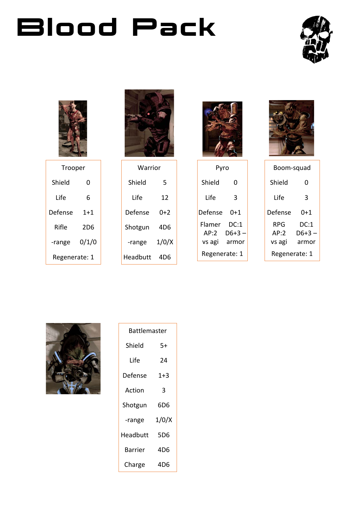## Blood Pack





| Trooper       |         |  |
|---------------|---------|--|
| Shield        | O       |  |
| Life          | 6       |  |
| Defense       | $1 + 1$ |  |
| Rifle         | 2D6     |  |
| -range        | 0/1/0   |  |
| Regenerate: 1 |         |  |



| Warrior  |       |  |
|----------|-------|--|
| Shield   | 5     |  |
| I ife    | 12    |  |
| Defense  | 0+2   |  |
| Shotgun  | 4D6   |  |
| -range   | 1/0/X |  |
| Headbutt | 4D6   |  |



| Pyro           |                |  |
|----------------|----------------|--|
| Shield         | ი              |  |
| l ife          | 3              |  |
| Defense        | 0+1            |  |
| Flamer<br>AP:2 | DC:1<br>D6+3 – |  |
| vs agi         | armor          |  |
| Regenerate: 1  |                |  |



| Boom-squad    |         |  |
|---------------|---------|--|
| Shield        | ი       |  |
| Life          | 3       |  |
| Defense       | 0+1     |  |
| RPG           | DC:1    |  |
| AP:2          | $D6+3-$ |  |
| vs agi        | armor   |  |
| Regenerate: 1 |         |  |



| Battlemaster |         |  |
|--------------|---------|--|
| Shield<br>5+ |         |  |
| Life         | 24      |  |
| Defense      | $1 + 3$ |  |
| Action       | 3       |  |
| Shotgun      | 6D6     |  |
| -range       | 1/0/X   |  |
| Headbutt     | 5D6     |  |
| Barrier      | 4D6     |  |
| Charge       | 4D6     |  |